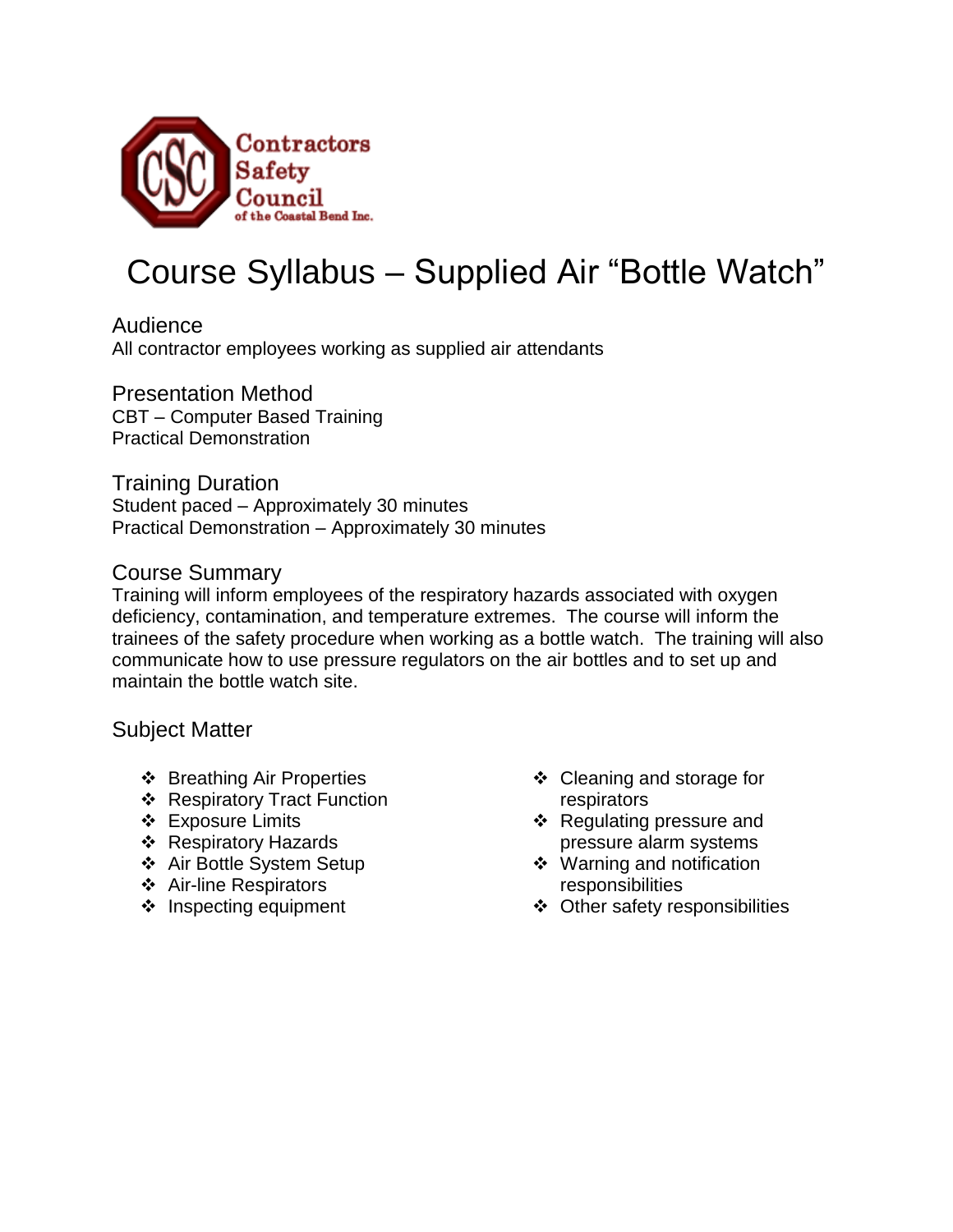

## Course Syllabus – Supplied Air "Bottle Watch"

Audience All contractor employees working as supplied air attendants

Presentation Method CBT – Computer Based Training Practical Demonstration

Training Duration Student paced – Approximately 30 minutes Practical Demonstration – Approximately 30 minutes

## Course Summary

Training will inform employees of the respiratory hazards associated with oxygen deficiency, contamination, and temperature extremes. The course will inform the trainees of the safety procedure when working as a bottle watch. The training will also communicate how to use pressure regulators on the air bottles and to set up and maintain the bottle watch site.

Subject Matter

- ❖ Breathing Air Properties
- ❖ Respiratory Tract Function
- Exposure Limits
- ❖ Respiratory Hazards
- Air Bottle System Setup
- Air-line Respirators
- $\div$  Inspecting equipment
- ❖ Cleaning and storage for respirators
- ❖ Regulating pressure and pressure alarm systems
- ❖ Warning and notification responsibilities
- Other safety responsibilities